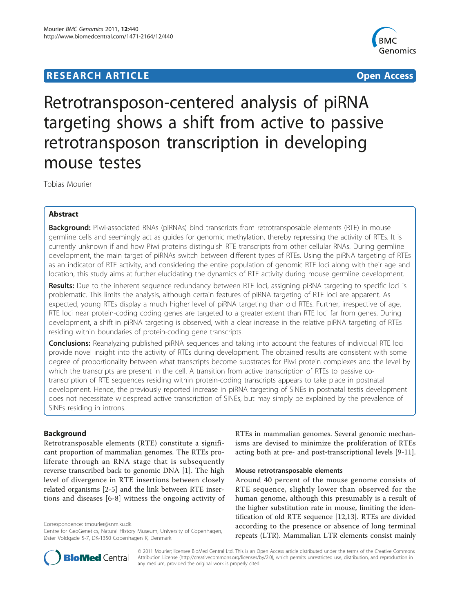# **RESEARCH ARTICLE Example 2014 CONSUMING ACCESS**



Retrotransposon-centered analysis of piRNA targeting shows a shift from active to passive retrotransposon transcription in developing mouse testes

Tobias Mourier

# Abstract

**Background:** Piwi-associated RNAs (piRNAs) bind transcripts from retrotransposable elements (RTE) in mouse germline cells and seemingly act as guides for genomic methylation, thereby repressing the activity of RTEs. It is currently unknown if and how Piwi proteins distinguish RTE transcripts from other cellular RNAs. During germline development, the main target of piRNAs switch between different types of RTEs. Using the piRNA targeting of RTEs as an indicator of RTE activity, and considering the entire population of genomic RTE loci along with their age and location, this study aims at further elucidating the dynamics of RTE activity during mouse germline development.

Results: Due to the inherent sequence redundancy between RTE loci, assigning piRNA targeting to specific loci is problematic. This limits the analysis, although certain features of piRNA targeting of RTE loci are apparent. As expected, young RTEs display a much higher level of piRNA targeting than old RTEs. Further, irrespective of age, RTE loci near protein-coding coding genes are targeted to a greater extent than RTE loci far from genes. During development, a shift in piRNA targeting is observed, with a clear increase in the relative piRNA targeting of RTEs residing within boundaries of protein-coding gene transcripts.

Conclusions: Reanalyzing published piRNA sequences and taking into account the features of individual RTE loci provide novel insight into the activity of RTEs during development. The obtained results are consistent with some degree of proportionality between what transcripts become substrates for Piwi protein complexes and the level by which the transcripts are present in the cell. A transition from active transcription of RTEs to passive cotranscription of RTE sequences residing within protein-coding transcripts appears to take place in postnatal development. Hence, the previously reported increase in piRNA targeting of SINEs in postnatal testis development does not necessitate widespread active transcription of SINEs, but may simply be explained by the prevalence of SINEs residing in introns.

# Background

Retrotransposable elements (RTE) constitute a significant proportion of mammalian genomes. The RTEs proliferate through an RNA stage that is subsequently reverse transcribed back to genomic DNA [\[1](#page-8-0)]. The high level of divergence in RTE insertions between closely related organisms [[2-5](#page-8-0)] and the link between RTE insertions and diseases [[6-8\]](#page-8-0) witness the ongoing activity of

Correspondence: [tmourier@snm.ku.dk](mailto:tmourier@snm.ku.dk)

RTEs in mammalian genomes. Several genomic mechanisms are devised to minimize the proliferation of RTEs acting both at pre- and post-transcriptional levels [\[9-11](#page-8-0)].

### Mouse retrotransposable elements

Around 40 percent of the mouse genome consists of RTE sequence, slightly lower than observed for the human genome, although this presumably is a result of the higher substitution rate in mouse, limiting the identification of old RTE sequence [\[12,13](#page-8-0)]. RTEs are divided according to the presence or absence of long terminal repeats (LTR). Mammalian LTR elements consist mainly



© 2011 Mourier; licensee BioMed Central Ltd. This is an Open Access article distributed under the terms of the Creative Commons Attribution License [\(http://creativecommons.org/licenses/by/2.0](http://creativecommons.org/licenses/by/2.0)), which permits unrestricted use, distribution, and reproduction in any medium, provided the original work is properly cited.

Centre for GeoGenetics, Natural History Museum, University of Copenhagen, Øster Voldgade 5-7, DK-1350 Copenhagen K, Denmark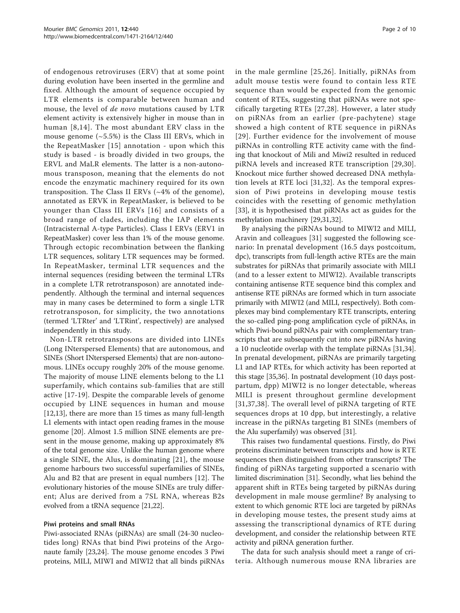of endogenous retroviruses (ERV) that at some point during evolution have been inserted in the germline and fixed. Although the amount of sequence occupied by LTR elements is comparable between human and mouse, the level of de novo mutations caused by LTR element activity is extensively higher in mouse than in human [[8](#page-8-0),[14](#page-8-0)]. The most abundant ERV class in the mouse genome  $({\sim}5.5\%)$  is the Class III ERVs, which in the RepeatMasker [[15](#page-8-0)] annotation - upon which this study is based - is broadly divided in two groups, the ERVL and MaLR elements. The latter is a non-autonomous transposon, meaning that the elements do not encode the enzymatic machinery required for its own transposition. The Class II ERVs (~4% of the genome), annotated as ERVK in RepeatMasker, is believed to be younger than Class III ERVs [[16\]](#page-8-0) and consists of a broad range of clades, including the IAP elements (Intracisternal A-type Particles). Class I ERVs (ERV1 in RepeatMasker) cover less than 1% of the mouse genome. Through ectopic recombination between the flanking LTR sequences, solitary LTR sequences may be formed. In RepeatMasker, terminal LTR sequences and the internal sequences (residing between the terminal LTRs in a complete LTR retrotransposon) are annotated independently. Although the terminal and internal sequences may in many cases be determined to form a single LTR retrotransposon, for simplicity, the two annotations (termed 'LTRter' and 'LTRint', respectively) are analysed independently in this study.

Non-LTR retrotransposons are divided into LINEs (Long INterspersed Elements) that are autonomous, and SINEs (Short INterspersed Elements) that are non-autonomous. LINEs occupy roughly 20% of the mouse genome. The majority of mouse LINE elements belong to the L1 superfamily, which contains sub-families that are still active [[17-19\]](#page-8-0). Despite the comparable levels of genome occupied by LINE sequences in human and mouse [[12,13\]](#page-8-0), there are more than 15 times as many full-length L1 elements with intact open reading frames in the mouse genome [\[20](#page-8-0)]. Almost 1.5 million SINE elements are present in the mouse genome, making up approximately 8% of the total genome size. Unlike the human genome where a single SINE, the Alus, is dominating [[21](#page-9-0)], the mouse genome harbours two successful superfamilies of SINEs, Alu and B2 that are present in equal numbers [[12\]](#page-8-0). The evolutionary histories of the mouse SINEs are truly different; Alus are derived from a 7SL RNA, whereas B2s evolved from a tRNA sequence [\[21,22](#page-9-0)].

# Piwi proteins and small RNAs

Piwi-associated RNAs (piRNAs) are small (24-30 nucleotides long) RNAs that bind Piwi proteins of the Argonaute family [[23,24\]](#page-9-0). The mouse genome encodes 3 Piwi proteins, MILI, MIWI and MIWI2 that all binds piRNAs in the male germline [[25](#page-9-0),[26](#page-9-0)]. Initially, piRNAs from adult mouse testis were found to contain less RTE sequence than would be expected from the genomic content of RTEs, suggesting that piRNAs were not specifically targeting RTEs [[27,28](#page-9-0)]. However, a later study on piRNAs from an earlier (pre-pachytene) stage showed a high content of RTE sequence in piRNAs [[29\]](#page-9-0). Further evidence for the involvement of mouse piRNAs in controlling RTE activity came with the finding that knockout of Mili and Miwi2 resulted in reduced piRNA levels and increased RTE transcription [\[29,30](#page-9-0)]. Knockout mice further showed decreased DNA methylation levels at RTE loci [\[31](#page-9-0),[32\]](#page-9-0). As the temporal expression of Piwi proteins in developing mouse testis coincides with the resetting of genomic methylation [[33\]](#page-9-0), it is hypothesised that piRNAs act as guides for the methylation machinery [\[29,31,32\]](#page-9-0).

By analysing the piRNAs bound to MIWI2 and MILI, Aravin and colleagues [[31\]](#page-9-0) suggested the following scenario: In prenatal development (16.5 days postcoitum, dpc), transcripts from full-length active RTEs are the main substrates for piRNAs that primarily associate with MILI (and to a lesser extent to MIWI2). Available transcripts containing antisense RTE sequence bind this complex and antisense RTE piRNAs are formed which in turn associate primarily with MIWI2 (and MILI, respectively). Both complexes may bind complementary RTE transcripts, entering the so-called ping-pong amplification cycle of piRNAs, in which Piwi-bound piRNAs pair with complementary transcripts that are subsequently cut into new piRNAs having a 10 nucleotide overlap with the template piRNAs [[31,34](#page-9-0)]. In prenatal development, piRNAs are primarily targeting L1 and IAP RTEs, for which activity has been reported at this stage [[35,36](#page-9-0)]. In postnatal development (10 days postpartum, dpp) MIWI2 is no longer detectable, whereas MILI is present throughout germline development [[31,37,38](#page-9-0)]. The overall level of piRNA targeting of RTE sequences drops at 10 dpp, but interestingly, a relative increase in the piRNAs targeting B1 SINEs (members of the Alu superfamily) was observed [\[31\]](#page-9-0).

This raises two fundamental questions. Firstly, do Piwi proteins discriminate between transcripts and how is RTE sequences then distinguished from other transcripts? The finding of piRNAs targeting supported a scenario with limited discrimination [\[31\]](#page-9-0). Secondly, what lies behind the apparent shift in RTEs being targeted by piRNAs during development in male mouse germline? By analysing to extent to which genomic RTE loci are targeted by piRNAs in developing mouse testes, the present study aims at assessing the transcriptional dynamics of RTE during development, and consider the relationship between RTE activity and piRNA generation further.

The data for such analysis should meet a range of criteria. Although numerous mouse RNA libraries are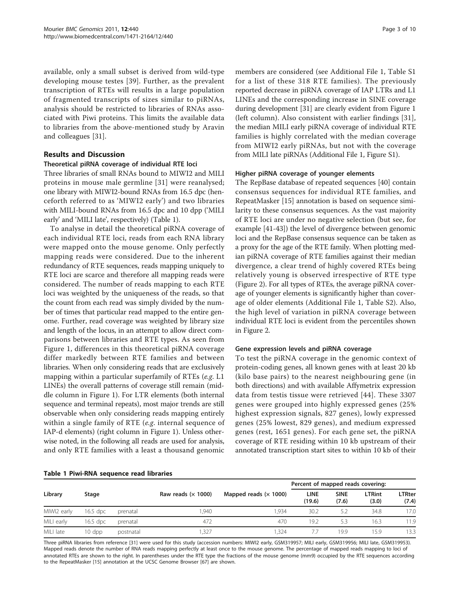available, only a small subset is derived from wild-type developing mouse testes [[39\]](#page-9-0). Further, as the prevalent transcription of RTEs will results in a large population of fragmented transcripts of sizes similar to piRNAs, analysis should be restricted to libraries of RNAs associated with Piwi proteins. This limits the available data to libraries from the above-mentioned study by Aravin and colleagues [[31](#page-9-0)].

# Results and Discussion

# Theoretical piRNA coverage of individual RTE loci

Three libraries of small RNAs bound to MIWI2 and MILI proteins in mouse male germline [[31](#page-9-0)] were reanalysed; one library with MIWI2-bound RNAs from 16.5 dpc (henceforth referred to as 'MIWI2 early') and two libraries with MILI-bound RNAs from 16.5 dpc and 10 dpp ('MILI early' and 'MILI late', respectively) (Table 1).

To analyse in detail the theoretical piRNA coverage of each individual RTE loci, reads from each RNA library were mapped onto the mouse genome. Only perfectly mapping reads were considered. Due to the inherent redundancy of RTE sequences, reads mapping uniquely to RTE loci are scarce and therefore all mapping reads were considered. The number of reads mapping to each RTE loci was weighted by the uniqueness of the reads, so that the count from each read was simply divided by the number of times that particular read mapped to the entire genome. Further, read coverage was weighted by library size and length of the locus, in an attempt to allow direct comparisons between libraries and RTE types. As seen from Figure [1](#page-3-0), differences in this theoretical piRNA coverage differ markedly between RTE families and between libraries. When only considering reads that are exclusively mapping within a particular superfamily of RTEs (e.g. L1 LINEs) the overall patterns of coverage still remain (middle column in Figure [1\)](#page-3-0). For LTR elements (both internal sequence and terminal repeats), most major trends are still observable when only considering reads mapping entirely within a single family of RTE (e.g. internal sequence of IAP-d elements) (right column in Figure [1\)](#page-3-0). Unless otherwise noted, in the following all reads are used for analysis, and only RTE families with a least a thousand genomic

### Table 1 Piwi-RNA sequence read libraries

members are considered (see Additional File [1](#page-8-0), Table S1 for a list of these 318 RTE families). The previously reported decrease in piRNA coverage of IAP LTRs and L1 LINEs and the corresponding increase in SINE coverage during development [[31](#page-9-0)] are clearly evident from Figure [1](#page-3-0) (left column). Also consistent with earlier findings [[31](#page-9-0)], the median MILI early piRNA coverage of individual RTE families is highly correlated with the median coverage from MIWI2 early piRNAs, but not with the coverage from MILI late piRNAs (Additional File [1](#page-8-0), Figure S1).

### Higher piRNA coverage of younger elements

The RepBase database of repeated sequences [[40](#page-9-0)] contain consensus sequences for individual RTE families, and RepeatMasker [\[15\]](#page-8-0) annotation is based on sequence similarity to these consensus sequences. As the vast majority of RTE loci are under no negative selection (but see, for example [\[41-43\]](#page-9-0)) the level of divergence between genomic loci and the RepBase consensus sequence can be taken as a proxy for the age of the RTE family. When plotting median piRNA coverage of RTE families against their median divergence, a clear trend of highly covered RTEs being relatively young is observed irrespective of RTE type (Figure [2](#page-4-0)). For all types of RTEs, the average piRNA coverage of younger elements is significantly higher than coverage of older elements (Additional File [1](#page-8-0), Table S2). Also, the high level of variation in piRNA coverage between individual RTE loci is evident from the percentiles shown in Figure [2.](#page-4-0)

### Gene expression levels and piRNA coverage

To test the piRNA coverage in the genomic context of protein-coding genes, all known genes with at least 20 kb (kilo base pairs) to the nearest neighbouring gene (in both directions) and with available Affymetrix expression data from testis tissue were retrieved [\[44\]](#page-9-0). These 3307 genes were grouped into highly expressed genes (25% highest expression signals, 827 genes), lowly expressed genes (25% lowest, 829 genes), and medium expressed genes (rest, 1651 genes). For each gene set, the piRNA coverage of RTE residing within 10 kb upstream of their annotated transcription start sites to within 10 kb of their

| Library     |            |           | Raw reads $(x 1000)$ | Mapped reads $(x 1000)$ | Percent of mapped reads covering: |                      |                 |                        |
|-------------|------------|-----------|----------------------|-------------------------|-----------------------------------|----------------------|-----------------|------------------------|
|             | Stage      |           |                      |                         | <b>LINE</b><br>(19.6)             | <b>SINE</b><br>(7.6) | LTRint<br>(3.0) | <b>LTRter</b><br>(7.4) |
| MIWI2 early | $16.5$ dpc | prenatal  | .940                 | .934                    | 30.2                              | 5.2                  | 34.8            | 17.0                   |
| MILI early  | $16.5$ dpc | prenatal  | 472                  | 470                     | 19.2                              | 5.3                  | 16.3            | 11.9                   |
| MILI late   | $10$ dpp   | postnatal | ,327                 | .324                    |                                   | 19.9                 | 15.9            | 13.3                   |

Three piRNA libraries from reference [\[31](#page-9-0)] were used for this study (accession numbers: MIWI2 early, GSM319957; MILI early, GSM319956; MILI late, GSM319953). Mapped reads denote the number of RNA reads mapping perfectly at least once to the mouse genome. The percentage of mapped reads mapping to loci of annotated RTEs are shown to the right. In parentheses under the RTE type the fractions of the mouse genome (mm9) occupied by the RTE sequences according to the RepeatMasker [\[15](#page-8-0)] annotation at the UCSC Genome Browser [\[67\]](#page-9-0) are shown.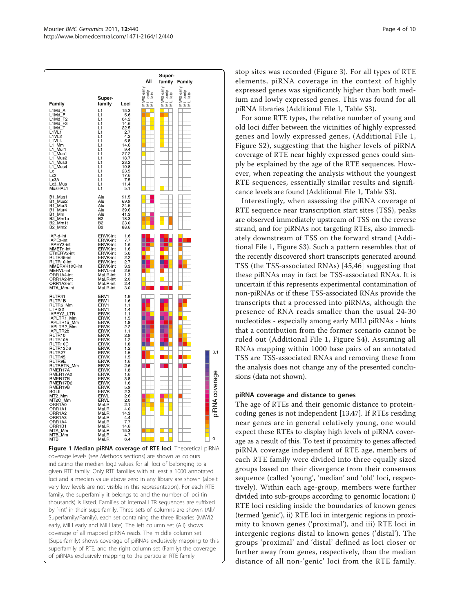<span id="page-3-0"></span>

stop sites was recorded (Figure [3\)](#page-4-0). For all types of RTE elements, piRNA coverage in the context of highly expressed genes was significantly higher than both medium and lowly expressed genes. This was found for all piRNA libraries (Additional File [1,](#page-8-0) Table S3).

For some RTE types, the relative number of young and old loci differ between the vicinities of highly expressed genes and lowly expressed genes, (Additional File [1](#page-8-0), Figure S2), suggesting that the higher levels of piRNA coverage of RTE near highly expressed genes could simply be explained by the age of the RTE sequences. However, when repeating the analysis without the youngest RTE sequences, essentially similar results and significance levels are found (Additional File [1,](#page-8-0) Table S3).

Interestingly, when assessing the piRNA coverage of RTE sequence near transcription start sites (TSS), peaks are observed immediately upstream of TSS on the reverse strand, and for piRNAs not targeting RTEs, also immediately downstream of TSS on the forward strand (Additional File [1](#page-8-0), Figure S3). Such a pattern resembles that of the recently discovered short transcripts generated around TSS (the TSS-associated RNAs) [[45,46](#page-9-0)] suggesting that these piRNAs may in fact be TSS-associated RNAs. It is uncertain if this represents experimental contamination of non-piRNAs or if these TSS-associated RNAs provide the transcripts that a processed into piRNAs, although the presence of RNA reads smaller than the usual 24-30 nucleotides - especially among early MILI piRNAs - hints that a contribution from the former scenario cannot be ruled out (Additional File [1,](#page-8-0) Figure S4). Assuming all RNAs mapping within 1000 base pairs of an annotated TSS are TSS-associated RNAs and removing these from the analysis does not change any of the presented conclusions (data not shown).

# piRNA coverage and distance to genes

The age of RTEs and their genomic distance to proteincoding genes is not independent [[13,](#page-8-0)[47\]](#page-9-0). If RTEs residing near genes are in general relatively young, one would expect these RTEs to display high levels of piRNA coverage as a result of this. To test if proximity to genes affected piRNA coverage independent of RTE age, members of each RTE family were divided into three equally sized groups based on their divergence from their consensus sequence (called 'young', 'median' and 'old' loci, respectively). Within each age-group, members were further divided into sub-groups according to genomic location; i) RTE loci residing inside the boundaries of known genes (termed 'genic'), ii) RTE loci in intergenic regions in proximity to known genes ('proximal'), and iii) RTE loci in intergenic regions distal to known genes ('distal'). The groups 'proximal' and 'distal' defined as loci closer or further away from genes, respectively, than the median distance of all non-'genic' loci from the RTE family.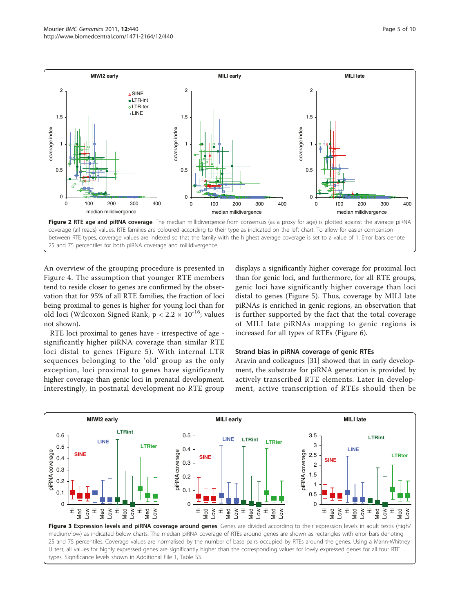<span id="page-4-0"></span>

An overview of the grouping procedure is presented in Figure [4](#page-5-0). The assumption that younger RTE members tend to reside closer to genes are confirmed by the observation that for 95% of all RTE families, the fraction of loci being proximal to genes is higher for young loci than for old loci (Wilcoxon Signed Rank,  $p < 2.2 \times 10^{-16}$ ; values not shown).

RTE loci proximal to genes have - irrespective of age significantly higher piRNA coverage than similar RTE loci distal to genes (Figure [5](#page-6-0)). With internal LTR sequences belonging to the 'old' group as the only exception, loci proximal to genes have significantly higher coverage than genic loci in prenatal development. Interestingly, in postnatal development no RTE group

displays a significantly higher coverage for proximal loci than for genic loci, and furthermore, for all RTE groups, genic loci have significantly higher coverage than loci distal to genes (Figure [5](#page-6-0)). Thus, coverage by MILI late piRNAs is enriched in genic regions, an observation that is further supported by the fact that the total coverage of MILI late piRNAs mapping to genic regions is increased for all types of RTEs (Figure [6\)](#page-7-0).

## Strand bias in piRNA coverage of genic RTEs

Aravin and colleagues [\[31\]](#page-9-0) showed that in early development, the substrate for piRNA generation is provided by actively transcribed RTE elements. Later in development, active transcription of RTEs should then be



types. Significance levels shown in Additional File [1](#page-8-0), Table S3.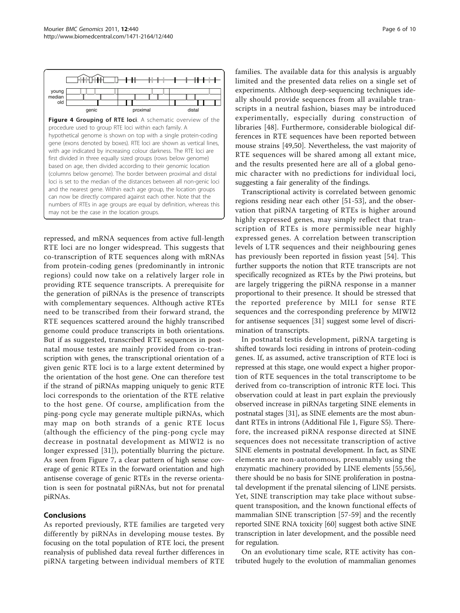<span id="page-5-0"></span>

gene (exons denoted by boxes). RTE loci are shown as vertical lines, with age indicated by increasing colour darkness. The RTE loci are first divided in three equally sized groups (rows below genome) based on age, then divided according to their genomic location (columns below genome). The border between proximal and distal loci is set to the median of the distances between all non-genic loci and the nearest gene. Within each age group, the location groups can now be directly compared against each other. Note that the numbers of RTEs in age groups are equal by definition, whereas this may not be the case in the location groups.

repressed, and mRNA sequences from active full-length RTE loci are no longer widespread. This suggests that co-transcription of RTE sequences along with mRNAs from protein-coding genes (predominantly in intronic regions) could now take on a relatively larger role in providing RTE sequence transcripts. A prerequisite for the generation of piRNAs is the presence of transcripts with complementary sequences. Although active RTEs need to be transcribed from their forward strand, the RTE sequences scattered around the highly transcribed genome could produce transcripts in both orientations. But if as suggested, transcribed RTE sequences in postnatal mouse testes are mainly provided from co-transcription with genes, the transcriptional orientation of a given genic RTE loci is to a large extent determined by the orientation of the host gene. One can therefore test if the strand of piRNAs mapping uniquely to genic RTE loci corresponds to the orientation of the RTE relative to the host gene. Of course, amplification from the ping-pong cycle may generate multiple piRNAs, which may map on both strands of a genic RTE locus (although the efficiency of the ping-pong cycle may decrease in postnatal development as MIWI2 is no longer expressed [\[31](#page-9-0)]), potentially blurring the picture. As seen from Figure [7](#page-8-0), a clear pattern of high sense coverage of genic RTEs in the forward orientation and high antisense coverage of genic RTEs in the reverse orientation is seen for postnatal piRNAs, but not for prenatal piRNAs.

# Conclusions

As reported previously, RTE families are targeted very differently by piRNAs in developing mouse testes. By focusing on the total population of RTE loci, the present reanalysis of published data reveal further differences in piRNA targeting between individual members of RTE families. The available data for this analysis is arguably limited and the presented data relies on a single set of experiments. Although deep-sequencing techniques ideally should provide sequences from all available transcripts in a neutral fashion, biases may be introduced experimentally, especially during construction of libraries [\[48\]](#page-9-0). Furthermore, considerable biological differences in RTE sequences have been reported between mouse strains [[49,50\]](#page-9-0). Nevertheless, the vast majority of RTE sequences will be shared among all extant mice, and the results presented here are all of a global genomic character with no predictions for individual loci, suggesting a fair generality of the findings.

Transcriptional activity is correlated between genomic regions residing near each other [[51-53](#page-9-0)], and the observation that piRNA targeting of RTEs is higher around highly expressed genes, may simply reflect that transcription of RTEs is more permissible near highly expressed genes. A correlation between transcription levels of LTR sequences and their neighbouring genes has previously been reported in fission yeast [[54\]](#page-9-0). This further supports the notion that RTE transcripts are not specifically recognized as RTEs by the Piwi proteins, but are largely triggering the piRNA response in a manner proportional to their presence. It should be stressed that the reported preference by MILI for sense RTE sequences and the corresponding preference by MIWI2 for antisense sequences [[31\]](#page-9-0) suggest some level of discrimination of transcripts.

In postnatal testis development, piRNA targeting is shifted towards loci residing in introns of protein-coding genes. If, as assumed, active transcription of RTE loci is repressed at this stage, one would expect a higher proportion of RTE sequences in the total transcriptome to be derived from co-transcription of intronic RTE loci. This observation could at least in part explain the previously observed increase in piRNAs targeting SINE elements in postnatal stages [[31\]](#page-9-0), as SINE elements are the most abundant RTEs in introns (Additional File [1,](#page-8-0) Figure S5). Therefore, the increased piRNA response directed at SINE sequences does not necessitate transcription of active SINE elements in postnatal development. In fact, as SINE elements are non-autonomous, presumably using the enzymatic machinery provided by LINE elements [[55](#page-9-0),[56](#page-9-0)], there should be no basis for SINE proliferation in postnatal development if the prenatal silencing of LINE persists. Yet, SINE transcription may take place without subsequent transposition, and the known functional effects of mammalian SINE transcription [\[57](#page-9-0)-[59\]](#page-9-0) and the recently reported SINE RNA toxicity [\[60](#page-9-0)] suggest both active SINE transcription in later development, and the possible need for regulation.

On an evolutionary time scale, RTE activity has contributed hugely to the evolution of mammalian genomes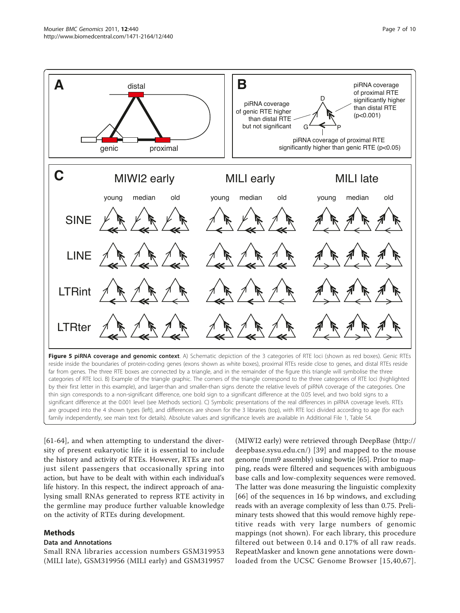<span id="page-6-0"></span>

thin sign corresponds to a non-significant difference, one bold sign to a significant difference at the 0.05 level, and two bold signs to a significant difference at the 0.001 level (see Methods section). C) Symbolic presentations of the real differences in piRNA coverage levels. RTEs are grouped into the 4 shown types (left), and differences are shown for the 3 libraries (top), with RTE loci divided according to age (for each family independently, see main text for details). Absolute values and significance levels are available in Additional File [1](#page-8-0), Table S4.

[[61](#page-9-0)-[64\]](#page-9-0), and when attempting to understand the diversity of present eukaryotic life it is essential to include the history and activity of RTEs. However, RTEs are not just silent passengers that occasionally spring into action, but have to be dealt with within each individual's life history. In this respect, the indirect approach of analysing small RNAs generated to repress RTE activity in the germline may produce further valuable knowledge on the activity of RTEs during development.

# Methods

# Data and Annotations

Small RNA libraries accession numbers GSM319953 (MILI late), GSM319956 (MILI early) and GSM319957

(MIWI2 early) were retrieved through DeepBase ([http://](http://deepbase.sysu.edu.cn/) [deepbase.sysu.edu.cn/](http://deepbase.sysu.edu.cn/)) [[39\]](#page-9-0) and mapped to the mouse genome (mm9 assembly) using bowtie [[65](#page-9-0)]. Prior to mapping, reads were filtered and sequences with ambiguous base calls and low-complexity sequences were removed. The latter was done measuring the linguistic complexity [[66](#page-9-0)] of the sequences in 16 bp windows, and excluding reads with an average complexity of less than 0.75. Preliminary tests showed that this would remove highly repetitive reads with very large numbers of genomic mappings (not shown). For each library, this procedure filtered out between 0.14 and 0.17% of all raw reads. RepeatMasker and known gene annotations were downloaded from the UCSC Genome Browser [[15](#page-8-0),[40](#page-9-0),[67\]](#page-9-0).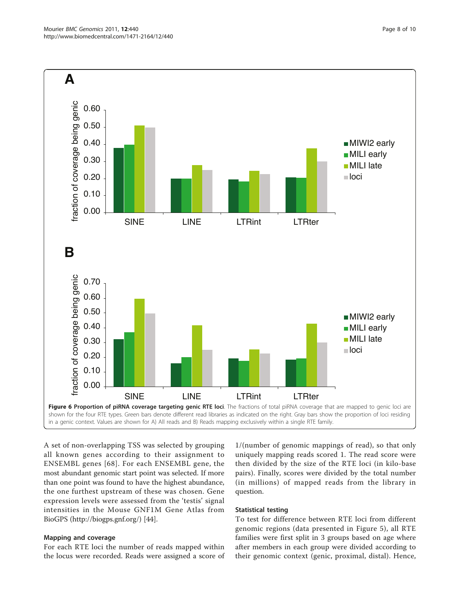<span id="page-7-0"></span>

shown for the four RTE types. Green bars denote different read libraries as indicated on the right. Gray bars show the proportion of loci residing in a genic context. Values are shown for A) All reads and B) Reads mapping exclusively within a single RTE family.

A set of non-overlapping TSS was selected by grouping all known genes according to their assignment to ENSEMBL genes [\[68](#page-9-0)]. For each ENSEMBL gene, the most abundant genomic start point was selected. If more than one point was found to have the highest abundance, the one furthest upstream of these was chosen. Gene expression levels were assessed from the 'testis' signal intensities in the Mouse GNF1M Gene Atlas from BioGPS (<http://biogps.gnf.org/>) [\[44](#page-9-0)].

# Mapping and coverage

For each RTE loci the number of reads mapped within the locus were recorded. Reads were assigned a score of

1/(number of genomic mappings of read), so that only uniquely mapping reads scored 1. The read score were then divided by the size of the RTE loci (in kilo-base pairs). Finally, scores were divided by the total number (in millions) of mapped reads from the library in question.

### Statistical testing

To test for difference between RTE loci from different genomic regions (data presented in Figure [5](#page-6-0)), all RTE families were first split in 3 groups based on age where after members in each group were divided according to their genomic context (genic, proximal, distal). Hence,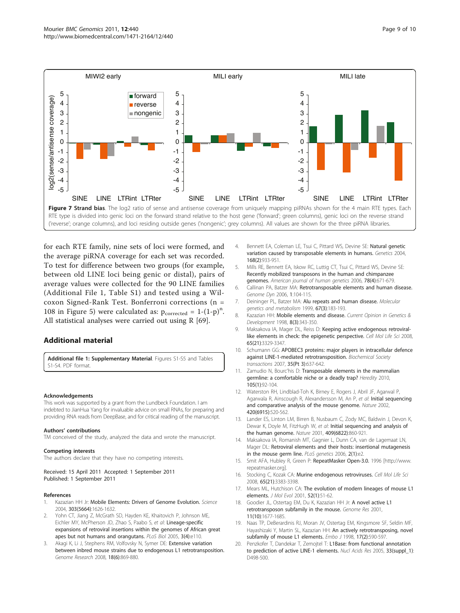<span id="page-8-0"></span>

for each RTE family, nine sets of loci were formed, and the average piRNA coverage for each set was recorded. To test for difference between two groups (for example, between old LINE loci being genic or distal), pairs of average values were collected for the 90 LINE families (Additional File 1, Table S1) and tested using a Wilcoxon Signed-Rank Test. Bonferroni corrections (n = 108 in Figure [5\)](#page-6-0) were calculated as:  $p_{\text{corrected}} = 1-(1-p)^n$ . All statistical analyses were carried out using R [\[69\]](#page-9-0).

# Additional material

[Additional file 1: S](http://www.biomedcentral.com/content/supplementary/1471-2164-12-440-S1.PDF)upplementary Material. Figures S1-S5 and Tables S1-S4. PDF format.

#### Acknowledgements

This work was supported by a grant from the Lundbeck Foundation. I am indebted to JianHua Yang for invaluable advice on small RNAs, for preparing and providing RNA reads from DeepBase, and for critical reading of the manuscript.

#### Authors' contributions

TM conceived of the study, analyzed the data and wrote the manuscript.

#### Competing interests

The authors declare that they have no competing interests.

#### Received: 15 April 2011 Accepted: 1 September 2011 Published: 1 September 2011

#### References

- Kazazian HH Jr: [Mobile Elements: Drivers of Genome Evolution.](http://www.ncbi.nlm.nih.gov/pubmed/15016989?dopt=Abstract) Science 2004, 303(5664):1626-1632.
- 2. Yohn CT, Jiang Z, McGrath SD, Hayden KE, Khaitovich P, Johnson ME, Eichler MY, McPherson JD, Zhao S, Paabo S, et al: [Lineage-specific](http://www.ncbi.nlm.nih.gov/pubmed/15737067?dopt=Abstract) [expansions of retroviral insertions within the genomes of African great](http://www.ncbi.nlm.nih.gov/pubmed/15737067?dopt=Abstract) [apes but not humans and orangutans.](http://www.ncbi.nlm.nih.gov/pubmed/15737067?dopt=Abstract) PLoS Biol 2005, 3(4):e110.
- Akagi K, Li J, Stephens RM, Volfovsky N, Symer DE: [Extensive variation](http://www.ncbi.nlm.nih.gov/pubmed/18381897?dopt=Abstract) [between inbred mouse strains due to endogenous L1 retrotransposition.](http://www.ncbi.nlm.nih.gov/pubmed/18381897?dopt=Abstract) Genome Research 2008, 18(6):869-880.
- 4. Bennett EA, Coleman LE, Tsui C, Pittard WS, Devine SE: [Natural genetic](http://www.ncbi.nlm.nih.gov/pubmed/15514065?dopt=Abstract) [variation caused by transposable elements in humans.](http://www.ncbi.nlm.nih.gov/pubmed/15514065?dopt=Abstract) Genetics 2004, 168(2):933-951.
- 5. Mills RE, Bennett EA, Iskow RC, Luttig CT, Tsui C, Pittard WS, Devine SE: [Recently mobilized transposons in the human and chimpanzee](http://www.ncbi.nlm.nih.gov/pubmed/16532396?dopt=Abstract) [genomes.](http://www.ncbi.nlm.nih.gov/pubmed/16532396?dopt=Abstract) American journal of human genetics 2006, 78(4):671-679.
- 6. Callinan PA, Batzer MA: [Retrotransposable elements and human disease.](http://www.ncbi.nlm.nih.gov/pubmed/18724056?dopt=Abstract) Genome Dyn 2006, 1:104-115.
- 7. Deininger PL, Batzer MA: [Alu repeats and human disease.](http://www.ncbi.nlm.nih.gov/pubmed/10381326?dopt=Abstract) Molecular genetics and metabolism 1999, 67(3):183-193.
- 8. Kazazian HH: [Mobile elements and disease.](http://www.ncbi.nlm.nih.gov/pubmed/21745151?dopt=Abstract) Current Opinion in Genetics & Development 1998, 8(3):343-350.
- 9. Maksakova IA, Mager DL, Reiss D: [Keeping active endogenous retroviral](http://www.ncbi.nlm.nih.gov/pubmed/18818875?dopt=Abstract)[like elements in check: the epigenetic perspective.](http://www.ncbi.nlm.nih.gov/pubmed/18818875?dopt=Abstract) Cell Mol Life Sci 2008, 65(21):3329-3347.
- 10. Schumann GG: [APOBEC3 proteins: major players in intracellular defence](http://www.ncbi.nlm.nih.gov/pubmed/17511669?dopt=Abstract) [against LINE-1-mediated retrotransposition.](http://www.ncbi.nlm.nih.gov/pubmed/17511669?dopt=Abstract) Biochemical Society transactions 2007, 35(Pt 3):637-642.
- 11. Zamudio N, Bourc'his D: [Transposable elements in the mammalian](http://www.ncbi.nlm.nih.gov/pubmed/20442734?dopt=Abstract) [germline: a comfortable niche or a deadly trap?](http://www.ncbi.nlm.nih.gov/pubmed/20442734?dopt=Abstract) Heredity 2010, 105(1):92-104.
- 12. Waterston RH, Lindblad-Toh K, Birney E, Rogers J, Abril JF, Agarwal P, Agarwala R, Ainscough R, Alexandersson M, An P, et al: [Initial sequencing](http://www.ncbi.nlm.nih.gov/pubmed/12466850?dopt=Abstract) [and comparative analysis of the mouse genome.](http://www.ncbi.nlm.nih.gov/pubmed/12466850?dopt=Abstract) Nature 2002, 420(6915):520-562.
- 13. Lander ES, Linton LM, Birren B, Nusbaum C, Zody MC, Baldwin J, Devon K, Dewar K, Doyle M, FitzHugh W, et al: [Initial sequencing and analysis of](http://www.ncbi.nlm.nih.gov/pubmed/11237011?dopt=Abstract) [the human genome.](http://www.ncbi.nlm.nih.gov/pubmed/11237011?dopt=Abstract) Nature 2001, 409(6822):860-921.
- 14. Maksakova IA, Romanish MT, Gagnier L, Dunn CA, van de Lagemaat LN, Mager DL: [Retroviral elements and their hosts: insertional mutagenesis](http://www.ncbi.nlm.nih.gov/pubmed/16440055?dopt=Abstract) in [the mouse germ line.](http://www.ncbi.nlm.nih.gov/pubmed/16440055?dopt=Abstract) PLoS genetics 2006, 2(1):e2.
- 15. Smit AFA, Hubley R, Green P: RepeatMasker Open-3.0. 1996 [\[http://www.](http://www.repeatmasker.org) [repeatmasker.org\]](http://www.repeatmasker.org).
- 16. Stocking C, Kozak CA: [Murine endogenous retroviruses.](http://www.ncbi.nlm.nih.gov/pubmed/18818872?dopt=Abstract) Cell Mol Life Sci 2008, 65(21):3383-3398.
- 17. Mears ML, Hutchison CA: [The evolution of modern lineages of mouse L1](http://www.ncbi.nlm.nih.gov/pubmed/11139294?dopt=Abstract) [elements.](http://www.ncbi.nlm.nih.gov/pubmed/11139294?dopt=Abstract) J Mol Evol 2001, 52(1):51-62.
- 18. Goodier JL, Ostertag EM, Du K, Kazazian HH Jr: [A novel active L1](http://www.ncbi.nlm.nih.gov/pubmed/11591644?dopt=Abstract) [retrotransposon subfamily in the mouse.](http://www.ncbi.nlm.nih.gov/pubmed/11591644?dopt=Abstract) Genome Res 2001, 11(10):1677-1685.
- 19. Naas TP, DeBerardinis RJ, Moran JV, Ostertag EM, Kingsmore SF, Seldin MF, Hayashizaki Y, Martin SL, Kazazian HH: [An actively retrotransposing, novel](http://www.ncbi.nlm.nih.gov/pubmed/9430649?dopt=Abstract) [subfamily of mouse L1 elements.](http://www.ncbi.nlm.nih.gov/pubmed/9430649?dopt=Abstract) Embo J 1998, 17(2):590-597.
- 20. Penzkofer T, Dandekar T, Zemojtel T: [L1Base: from functional annotation](http://www.ncbi.nlm.nih.gov/pubmed/15608246?dopt=Abstract) [to prediction of active LINE-1 elements.](http://www.ncbi.nlm.nih.gov/pubmed/15608246?dopt=Abstract) Nucl Acids Res 2005, 33(suppl\_1): D498-500.